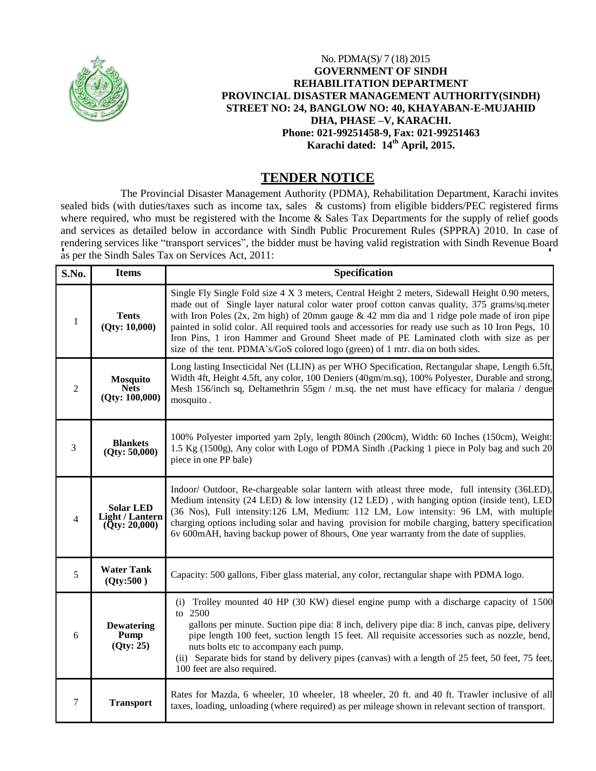

## No. PDMA(S)/ 7 (18) 2015 **GOVERNMENT OF SINDH REHABILITATION DEPARTMENT PROVINCIAL DISASTER MANAGEMENT AUTHORITY(SINDH) STREET NO: 24, BANGLOW NO: 40, KHAYABAN-E-MUJAHID DHA, PHASE –V, KARACHI. Phone: 021-99251458-9, Fax: 021-99251463 Karachi dated: 14th April, 2015.**

## **TENDER NOTICE**

The Provincial Disaster Management Authority (PDMA), Rehabilitation Department, Karachi invites sealed bids (with duties/taxes such as income tax, sales & customs) from eligible bidders/PEC registered firms where required, who must be registered with the Income & Sales Tax Departments for the supply of relief goods and services as detailed below in accordance with Sindh Public Procurement Rules (SPPRA) 2010. In case of rendering services like "transport services", the bidder must be having valid registration with Sindh Revenue Board as per the Sindh Sales Tax on Services Act, 2011:

| S.No.          | <b>Items</b>                                                | <b>Specification</b>                                                                                                                                                                                                                                                                                                                                                                                                                                                                                                                                                             |
|----------------|-------------------------------------------------------------|----------------------------------------------------------------------------------------------------------------------------------------------------------------------------------------------------------------------------------------------------------------------------------------------------------------------------------------------------------------------------------------------------------------------------------------------------------------------------------------------------------------------------------------------------------------------------------|
| $\mathbf{1}$   | <b>Tents</b><br>(Qty: 10,000)                               | Single Fly Single Fold size 4 X 3 meters, Central Height 2 meters, Sidewall Height 0.90 meters,<br>made out of Single layer natural color water proof cotton canvas quality, 375 grams/sq.meter<br>with Iron Poles $(2x, 2m)$ high) of 20mm gauge & 42 mm dia and 1 ridge pole made of iron pipe<br>painted in solid color. All required tools and accessories for ready use such as 10 Iron Pegs, 10<br>Iron Pins, 1 iron Hammer and Ground Sheet made of PE Laminated cloth with size as per<br>size of the tent. PDMA's/GoS colored logo (green) of 1 mtr. dia on both sides. |
| $\overline{2}$ | <b>Mosquito</b><br><b>Nets</b><br>(Qty: 100,000)            | Long lasting Insecticidal Net (LLIN) as per WHO Specification, Rectangular shape, Length 6.5ft,<br>Width 4ft, Height 4.5ft, any color, 100 Deniers (40gm/m.sq), 100% Polyester, Durable and strong,<br>Mesh 156/inch sq, Deltamethrin 55gm / m.sq. the net must have efficacy for malaria / dengue<br>mosquito.                                                                                                                                                                                                                                                                  |
| 3              | <b>Blankets</b><br>(Qty: 50,000)                            | 100% Polyester imported yarn 2ply, length 80inch (200cm), Width: 60 Inches (150cm), Weight:<br>1.5 Kg (1500g), Any color with Logo of PDMA Sindh .(Packing 1 piece in Poly bag and such 20<br>piece in one PP bale)                                                                                                                                                                                                                                                                                                                                                              |
| 4              | <b>Solar LED</b><br><b>Light / Lantern</b><br>(Qty: 20,000) | Indoor/ Outdoor, Re-chargeable solar lantern with atleast three mode, full intensity (36LED),<br>Medium intensity (24 LED) & low intensity (12 LED), with hanging option (inside tent), LED<br>(36 Nos), Full intensity:126 LM, Medium: 112 LM, Low intensity: 96 LM, with multiple<br>charging options including solar and having provision for mobile charging, battery specification<br>6v 600mAH, having backup power of 8hours, One year warranty from the date of supplies.                                                                                                |
| 5              | <b>Water Tank</b><br>(Qty:500)                              | Capacity: 500 gallons, Fiber glass material, any color, rectangular shape with PDMA logo.                                                                                                                                                                                                                                                                                                                                                                                                                                                                                        |
| 6              | <b>Dewatering</b><br>Pump<br>(Qty: 25)                      | Trolley mounted 40 HP (30 KW) diesel engine pump with a discharge capacity of 1500<br>(i)<br>to 2500<br>gallons per minute. Suction pipe dia: 8 inch, delivery pipe dia: 8 inch, canvas pipe, delivery<br>pipe length 100 feet, suction length 15 feet. All requisite accessories such as nozzle, bend,<br>nuts bolts etc to accompany each pump.<br>(ii) Separate bids for stand by delivery pipes (canvas) with a length of 25 feet, 50 feet, 75 feet,<br>100 feet are also required.                                                                                          |
| 7              | <b>Transport</b>                                            | Rates for Mazda, 6 wheeler, 10 wheeler, 18 wheeler, 20 ft. and 40 ft. Trawler inclusive of all<br>taxes, loading, unloading (where required) as per mileage shown in relevant section of transport.                                                                                                                                                                                                                                                                                                                                                                              |